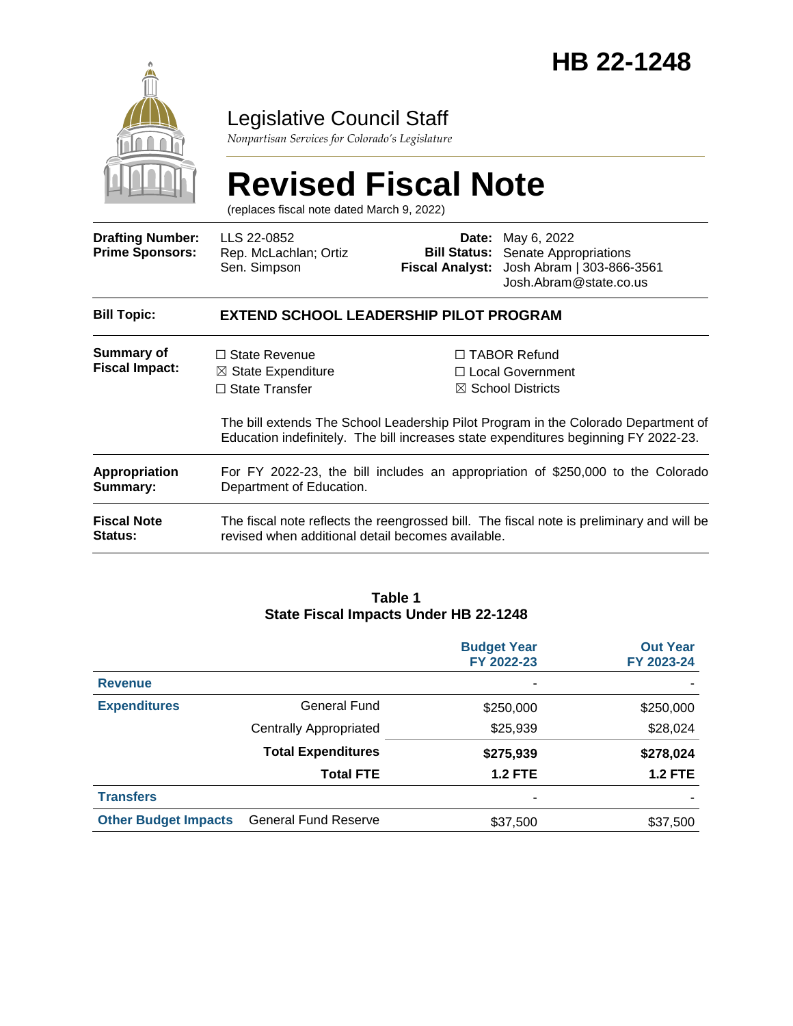

## Legislative Council Staff

*Nonpartisan Services for Colorado's Legislature*

# **Revised Fiscal Note**

(replaces fiscal note dated March 9, 2022)

| <b>Drafting Number:</b><br><b>Prime Sponsors:</b> | LLS 22-0852<br>Rep. McLachlan; Ortiz<br>Sen. Simpson                                                                                                                      | <b>Fiscal Analyst:</b> | <b>Date:</b> May 6, 2022<br><b>Bill Status:</b> Senate Appropriations<br>Josh Abram   303-866-3561<br>Josh.Abram@state.co.us |  |
|---------------------------------------------------|---------------------------------------------------------------------------------------------------------------------------------------------------------------------------|------------------------|------------------------------------------------------------------------------------------------------------------------------|--|
| <b>Bill Topic:</b>                                | <b>EXTEND SCHOOL LEADERSHIP PILOT PROGRAM</b>                                                                                                                             |                        |                                                                                                                              |  |
| Summary of<br><b>Fiscal Impact:</b>               | $\Box$ State Revenue<br>$\boxtimes$ State Expenditure<br>$\Box$ State Transfer                                                                                            |                        | $\Box$ TABOR Refund<br>□ Local Government<br>$\boxtimes$ School Districts                                                    |  |
|                                                   | The bill extends The School Leadership Pilot Program in the Colorado Department of<br>Education indefinitely. The bill increases state expenditures beginning FY 2022-23. |                        |                                                                                                                              |  |
| Appropriation<br>Summary:                         | For FY 2022-23, the bill includes an appropriation of \$250,000 to the Colorado<br>Department of Education.                                                               |                        |                                                                                                                              |  |
| <b>Fiscal Note</b><br><b>Status:</b>              | The fiscal note reflects the reengrossed bill. The fiscal note is preliminary and will be<br>revised when additional detail becomes available.                            |                        |                                                                                                                              |  |

#### **Table 1 State Fiscal Impacts Under HB 22-1248**

|                             |                               | <b>Budget Year</b><br>FY 2022-23 | <b>Out Year</b><br>FY 2023-24 |
|-----------------------------|-------------------------------|----------------------------------|-------------------------------|
| <b>Revenue</b>              |                               | ۰                                |                               |
| <b>Expenditures</b>         | General Fund                  | \$250,000                        | \$250,000                     |
|                             | <b>Centrally Appropriated</b> | \$25,939                         | \$28,024                      |
|                             | <b>Total Expenditures</b>     | \$275,939                        | \$278,024                     |
|                             | <b>Total FTE</b>              | <b>1.2 FTE</b>                   | <b>1.2 FTE</b>                |
| <b>Transfers</b>            |                               | ۰                                |                               |
| <b>Other Budget Impacts</b> | <b>General Fund Reserve</b>   | \$37,500                         | \$37,500                      |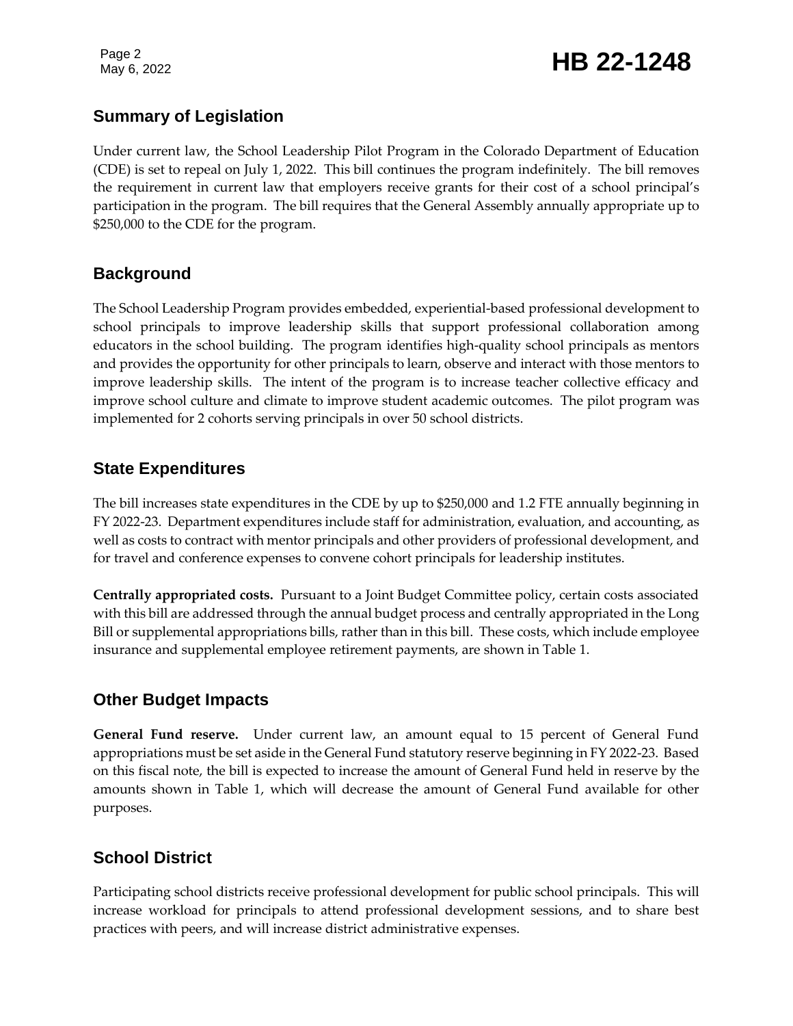Page 2

#### **Summary of Legislation**

Under current law, the School Leadership Pilot Program in the Colorado Department of Education (CDE) is set to repeal on July 1, 2022. This bill continues the program indefinitely. The bill removes the requirement in current law that employers receive grants for their cost of a school principal's participation in the program. The bill requires that the General Assembly annually appropriate up to \$250,000 to the CDE for the program.

#### **Background**

The School Leadership Program provides embedded, experiential-based professional development to school principals to improve leadership skills that support professional collaboration among educators in the school building. The program identifies high-quality school principals as mentors and provides the opportunity for other principals to learn, observe and interact with those mentors to improve leadership skills. The intent of the program is to increase teacher collective efficacy and improve school culture and climate to improve student academic outcomes. The pilot program was implemented for 2 cohorts serving principals in over 50 school districts.

### **State Expenditures**

The bill increases state expenditures in the CDE by up to \$250,000 and 1.2 FTE annually beginning in FY 2022-23. Department expenditures include staff for administration, evaluation, and accounting, as well as costs to contract with mentor principals and other providers of professional development, and for travel and conference expenses to convene cohort principals for leadership institutes.

**Centrally appropriated costs.** Pursuant to a Joint Budget Committee policy, certain costs associated with this bill are addressed through the annual budget process and centrally appropriated in the Long Bill or supplemental appropriations bills, rather than in this bill. These costs, which include employee insurance and supplemental employee retirement payments, are shown in Table 1.

#### **Other Budget Impacts**

**General Fund reserve.** Under current law, an amount equal to 15 percent of General Fund appropriations must be set aside in the General Fund statutory reserve beginning in FY 2022-23. Based on this fiscal note, the bill is expected to increase the amount of General Fund held in reserve by the amounts shown in Table 1, which will decrease the amount of General Fund available for other purposes.

#### **School District**

Participating school districts receive professional development for public school principals. This will increase workload for principals to attend professional development sessions, and to share best practices with peers, and will increase district administrative expenses.